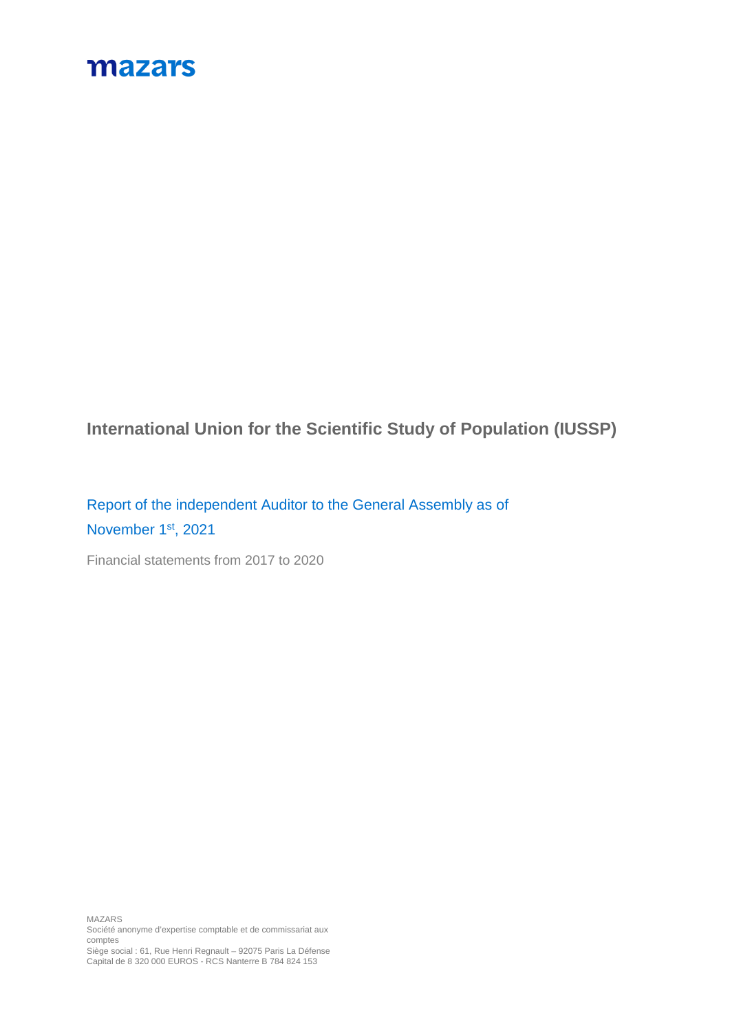## mazars

**International Union for the Scientific Study of Population (IUSSP)**

Report of the independent Auditor to the General Assembly as of November 1<sup>st</sup>, 2021

Financial statements from 2017 to 2020

MAZARS Société anonyme d'expertise comptable et de commissariat aux comptes

Siège social : 61, Rue Henri Regnault – 92075 Paris La Défense Capital de 8 320 000 EUROS - RCS Nanterre B 784 824 153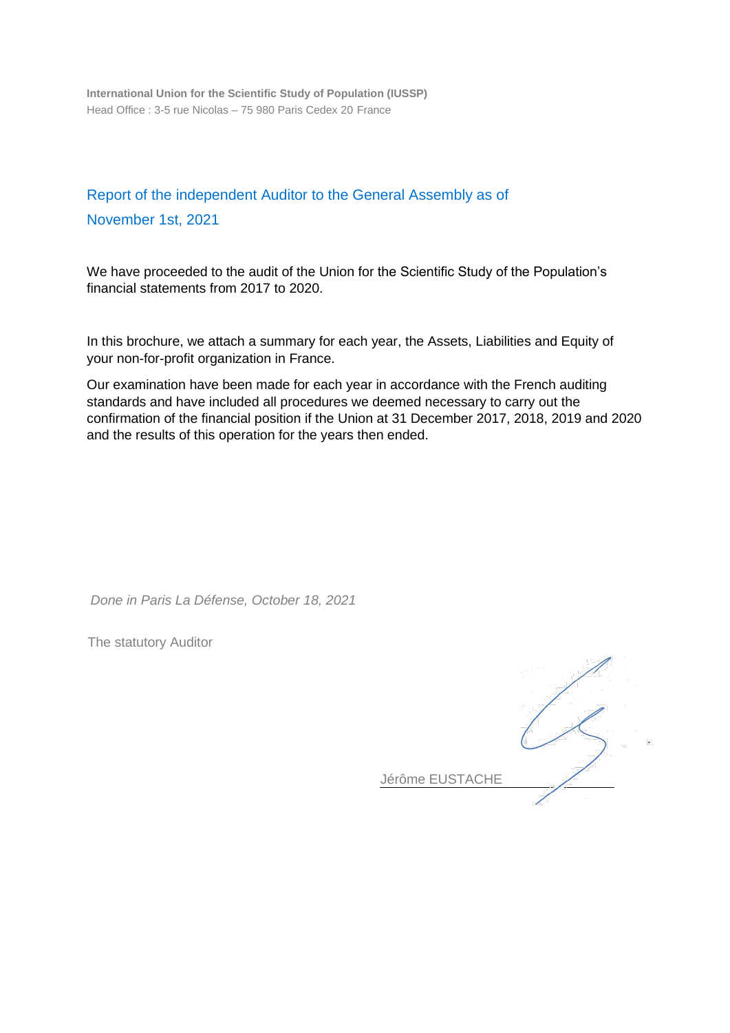**International Union for the Scientific Study of Population (IUSSP)** Head Office : 3-5 rue Nicolas – 75 980 Paris Cedex 20 France

## Report of the independent Auditor to the General Assembly as of November 1st, 2021

We have proceeded to the audit of the Union for the Scientific Study of the Population's financial statements from 2017 to 2020.

In this brochure, we attach a summary for each year, the Assets, Liabilities and Equity of your non-for-profit organization in France.

Our examination have been made for each year in accordance with the French auditing standards and have included all procedures we deemed necessary to carry out the confirmation of the financial position if the Union at 31 December 2017, 2018, 2019 and 2020 and the results of this operation for the years then ended.

*Done in Paris La Défense, October 18, 2021*

The statutory Auditor

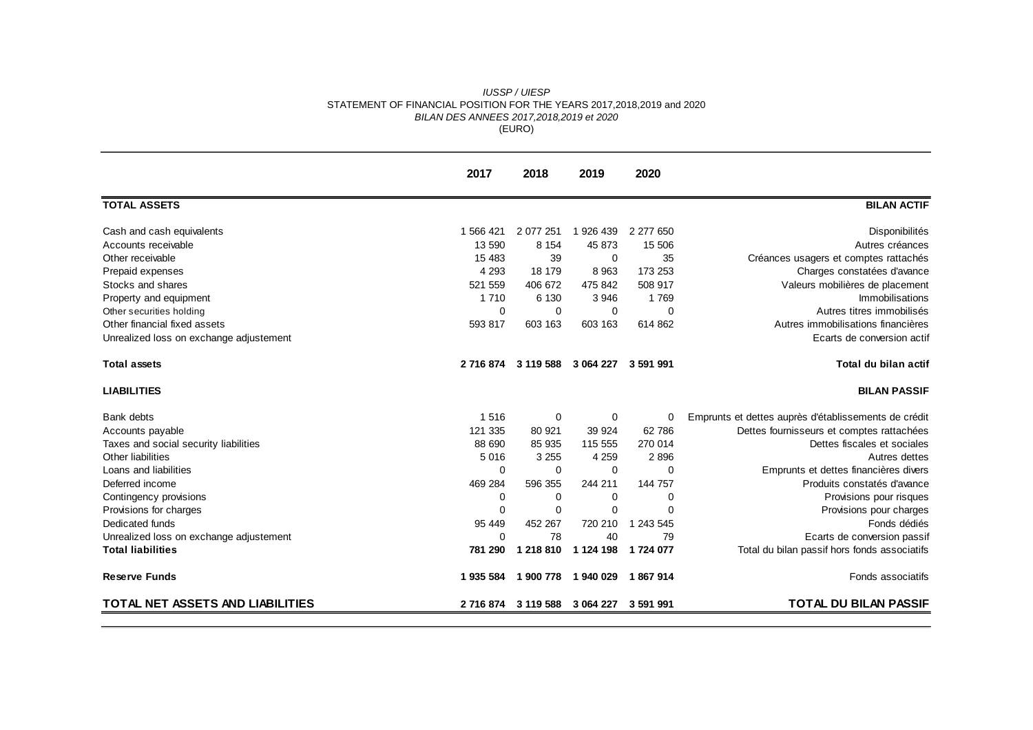## *IUSSP / UIESP* STATEMENT OF FINANCIAL POSITION FOR THE YEARS 2017,2018,2019 and 2020 *BILAN DES ANNEES 2017,2018,2019 et 2020* (EURO)

|                                         | 2017        | 2018      | 2019        | 2020      |                                                      |
|-----------------------------------------|-------------|-----------|-------------|-----------|------------------------------------------------------|
| <b>TOTAL ASSETS</b>                     |             |           |             |           | <b>BILAN ACTIF</b>                                   |
| Cash and cash equivalents               | 1 566 421   | 2 077 251 | 1 926 439   | 2 277 650 | Disponibilités                                       |
| Accounts receivable                     | 13 590      | 8 1 5 4   | 45 873      | 15 506    | Autres créances                                      |
| Other receivable                        | 15 4 8 3    | 39        | 0           | 35        | Créances usagers et comptes rattachés                |
| Prepaid expenses                        | 4 2 9 3     | 18 179    | 8 9 6 3     | 173 253   | Charges constatées d'avance                          |
| Stocks and shares                       | 521 559     | 406 672   | 475 842     | 508 917   | Valeurs mobilières de placement                      |
| Property and equipment                  | 1 7 1 0     | 6 1 3 0   | 3 9 4 6     | 1769      | Immobilisations                                      |
| Other securities holding                | $\mathbf 0$ | $\Omega$  | $\mathbf 0$ | $\Omega$  | Autres titres immobilisés                            |
| Other financial fixed assets            | 593 817     | 603 163   | 603 163     | 614 862   | Autres immobilisations financières                   |
| Unrealized loss on exchange adjustement |             |           |             |           | Ecarts de conversion actif                           |
| <b>Total assets</b>                     | 2 716 874   | 3 119 588 | 3 064 227   | 3 591 991 | Total du bilan actif                                 |
| <b>LIABILITIES</b>                      |             |           |             |           | <b>BILAN PASSIF</b>                                  |
| Bank debts                              | 1516        | 0         | 0           | 0         | Emprunts et dettes auprès d'établissements de crédit |
| Accounts payable                        | 121 335     | 80 921    | 39 9 24     | 62 786    | Dettes fournisseurs et comptes rattachées            |
| Taxes and social security liabilities   | 88 690      | 85 935    | 115 555     | 270 014   | Dettes fiscales et sociales                          |
| Other liabilities                       | 5 0 1 6     | 3 2 5 5   | 4 2 5 9     | 2896      | Autres dettes                                        |
| Loans and liabilities                   | 0           | 0         | $\mathbf 0$ | $\Omega$  | Emprunts et dettes financières divers                |
| Deferred income                         | 469 284     | 596 355   | 244 211     | 144 757   | Produits constatés d'avance                          |
| Contingency provisions                  | 0           | $\Omega$  | 0           | $\Omega$  | Provisions pour risques                              |
| Provisions for charges                  | $\Omega$    | $\Omega$  | $\Omega$    | $\Omega$  | Provisions pour charges                              |
| Dedicated funds                         | 95 449      | 452 267   | 720 210     | 1 243 545 | Fonds dédiés                                         |
| Unrealized loss on exchange adjustement | $\mathbf 0$ | 78        | 40          | 79        | Ecarts de conversion passif                          |
| <b>Total liabilities</b>                | 781 290     | 1 218 810 | 1 124 198   | 1724 077  | Total du bilan passif hors fonds associatifs         |
| <b>Reserve Funds</b>                    | 1 935 584   | 1 900 778 | 1940 029    | 1867914   | Fonds associatifs                                    |
| TOTAL NET ASSETS AND LIABILITIES        | 2 716 874   | 3 119 588 | 3 064 227   | 3 591 991 | <b>TOTAL DU BILAN PASSIF</b>                         |